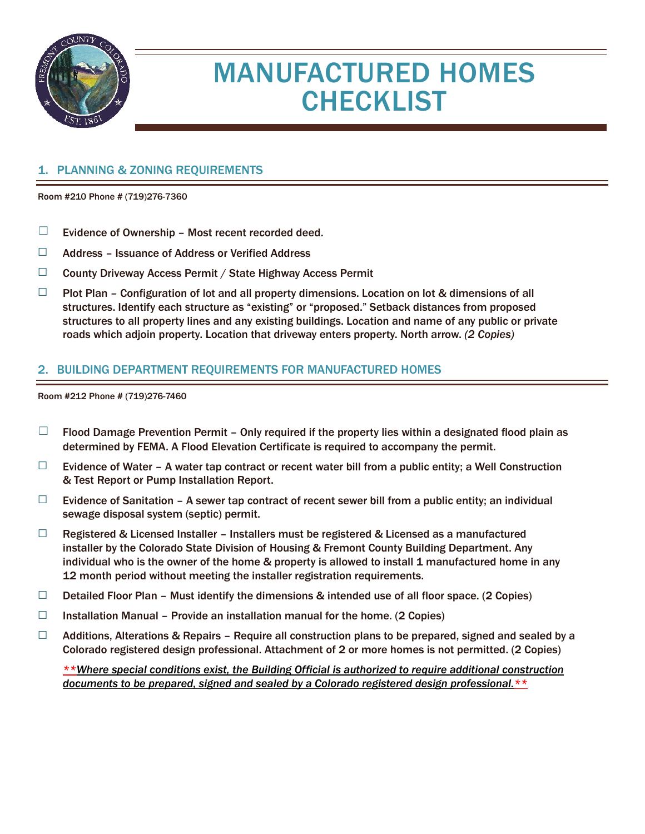

# MANUFACTURED HOMES **CHECKLIST**

#### 1. PLANNING & ZONING REQUIREMENTS

Room #210 Phone # (719)276-7360

- $\Box$  Evidence of Ownership Most recent recorded deed.
- ☐ Address Issuance of Address or Verified Address
- ☐ County Driveway Access Permit / State Highway Access Permit
- $\Box$  Plot Plan Configuration of lot and all property dimensions. Location on lot & dimensions of all structures. Identify each structure as "existing" or "proposed." Setback distances from proposed structures to all property lines and any existing buildings. Location and name of any public or private roads which adjoin property. Location that driveway enters property. North arrow. *(2 Copies)*

#### 2. BUILDING DEPARTMENT REQUIREMENTS FOR MANUFACTURED HOMES

Room #212 Phone # (719)276-7460

- $\Box$  Flood Damage Prevention Permit Only required if the property lies within a designated flood plain as determined by FEMA. A Flood Elevation Certificate is required to accompany the permit.
- $\Box$  Evidence of Water A water tap contract or recent water bill from a public entity; a Well Construction & Test Report or Pump Installation Report.
- $\Box$  Evidence of Sanitation A sewer tap contract of recent sewer bill from a public entity; an individual sewage disposal system (septic) permit.
- $\Box$  Registered & Licensed Installer Installers must be registered & Licensed as a manufactured installer by the Colorado State Division of Housing & Fremont County Building Department. Any individual who is the owner of the home & property is allowed to install 1 manufactured home in any 12 month period without meeting the installer registration requirements.
- $\Box$  Detailed Floor Plan Must identify the dimensions & intended use of all floor space. (2 Copies)
- □ Installation Manual Provide an installation manual for the home. (2 Copies)
- $\Box$  Additions, Alterations & Repairs Require all construction plans to be prepared, signed and sealed by a Colorado registered design professional. Attachment of 2 or more homes is not permitted. (2 Copies)

*\*\*Where special conditions exist, the Building Official is authorized to require additional construction documents to be prepared, signed and sealed by a Colorado registered design professional.\*\**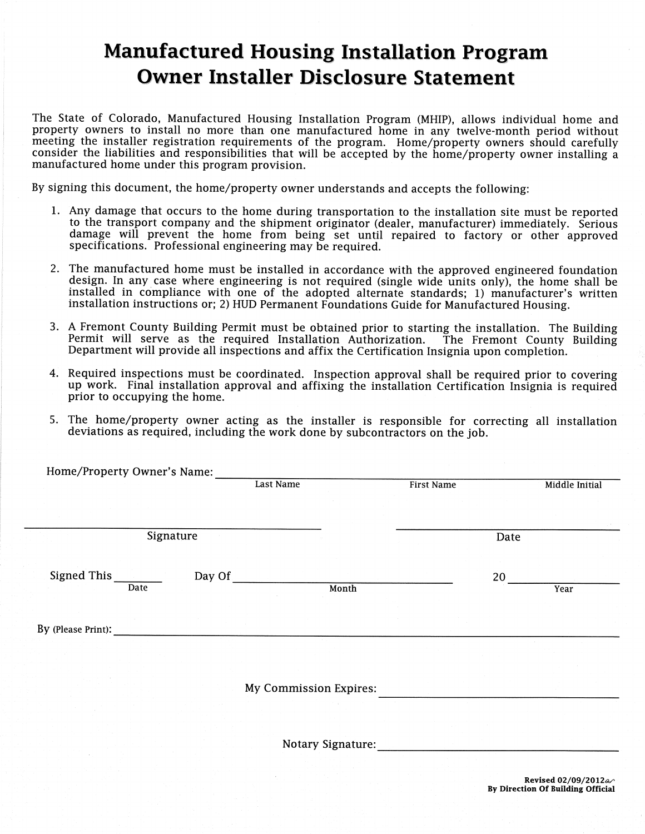### **Manufactured Housing Installation Program Owner Installer Disclosure Statement**

The State of Colorado, Manufactured Housing Installation Program (MHIP), allows individual home and property owners to install no more than one manufactured home in any twelve-month period without meeting the installer registration requirements of the program. Home/property owners should carefully consider the liabilities and responsibilities that will be accepted by the home/property owner installing a manufactured home under this program provision.

By signing this document, the home/property owner understands and accepts the following:

- 1. Any damage that occurs to the home during transportation to the installation site must be reported to the transport company and the shipment originator (dealer, manufacturer) immediately. Serious damage will prevent the home from being set until repaired to factory or other approved specifications. Professional engineering may be required.
- 2. The manufactured home must be installed in accordance with the approved engineered foundation design. In any case where engineering is not required (single wide units only), the home shall be installed in compliance with one of the adopted alternate standards; 1) manufacturer's written installation instructions or; 2) HUD Permanent Foundations Guide for Manufactured Housing.
- 3. A Fremont County Building Permit must be obtained prior to starting the installation. The Building Permit will serve as the required Installation Authorization. The Fremont County Building Department will provide all inspections and affix the Certification Insignia upon completion.
- 4. Required inspections must be coordinated. Inspection approval shall be required prior to covering up work. Final installation approval and affixing the installation Certification Insignia is required prior to occupying the home.
- 5. The home/property owner acting as the installer is responsible for correcting all installation deviations as required, including the work done by subcontractors on the job.

| Signature<br>Date<br>Signed This Signed This<br>Day Of<br>20<br>Month<br>Date<br>Year<br>By (Please Print):<br>the contract of the contract of the contract of the contract of the contract of<br>My Commission Expires:<br><b>Notary Signature:</b> |  |  | <b>First Name</b> |  | Middle Initial |
|------------------------------------------------------------------------------------------------------------------------------------------------------------------------------------------------------------------------------------------------------|--|--|-------------------|--|----------------|
|                                                                                                                                                                                                                                                      |  |  |                   |  |                |
|                                                                                                                                                                                                                                                      |  |  |                   |  |                |
|                                                                                                                                                                                                                                                      |  |  |                   |  |                |
|                                                                                                                                                                                                                                                      |  |  |                   |  |                |
|                                                                                                                                                                                                                                                      |  |  |                   |  |                |
|                                                                                                                                                                                                                                                      |  |  |                   |  |                |
|                                                                                                                                                                                                                                                      |  |  |                   |  |                |
|                                                                                                                                                                                                                                                      |  |  |                   |  |                |
|                                                                                                                                                                                                                                                      |  |  |                   |  |                |
|                                                                                                                                                                                                                                                      |  |  |                   |  |                |
|                                                                                                                                                                                                                                                      |  |  |                   |  |                |
|                                                                                                                                                                                                                                                      |  |  |                   |  |                |
|                                                                                                                                                                                                                                                      |  |  |                   |  |                |